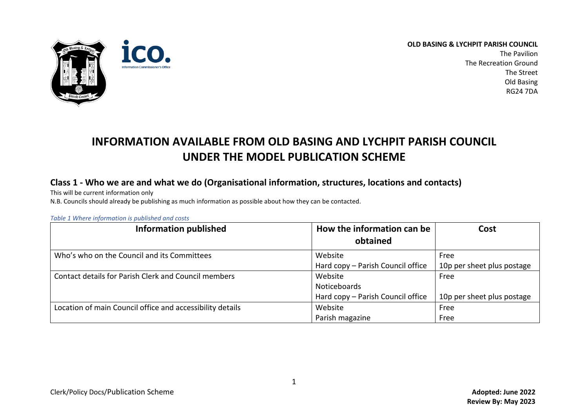

The Pavilion The Recreation Ground The Street Old Basing RG24 7DA

# **INFORMATION AVAILABLE FROM OLD BASING AND LYCHPIT PARISH COUNCIL UNDER THE MODEL PUBLICATION SCHEME**

## **Class 1 - Who we are and what we do (Organisational information, structures, locations and contacts)**

This will be current information only

N.B. Councils should already be publishing as much information as possible about how they can be contacted.

*Table 1 Where information is published and costs*

| <b>Information published</b>                              | How the information can be<br>obtained | Cost                       |
|-----------------------------------------------------------|----------------------------------------|----------------------------|
|                                                           |                                        |                            |
| Who's who on the Council and its Committees               | Website                                | Free                       |
|                                                           | Hard copy - Parish Council office      | 10p per sheet plus postage |
| Contact details for Parish Clerk and Council members      | Website                                | Free                       |
|                                                           | <b>Noticeboards</b>                    |                            |
|                                                           | Hard copy - Parish Council office      | 10p per sheet plus postage |
| Location of main Council office and accessibility details | Website                                | Free                       |
|                                                           | Parish magazine                        | Free                       |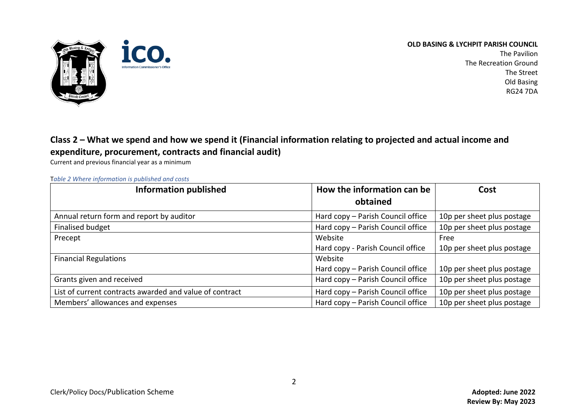

The Pavilion The Recreation Ground The Street Old Basing RG24 7DA

## **Class 2 – What we spend and how we spend it (Financial information relating to projected and actual income and expenditure, procurement, contracts and financial audit)**

Current and previous financial year as a minimum

T*able 2 Where information is published and costs*

| <b>Information published</b>                            | How the information can be        | Cost                       |
|---------------------------------------------------------|-----------------------------------|----------------------------|
|                                                         | obtained                          |                            |
| Annual return form and report by auditor                | Hard copy - Parish Council office | 10p per sheet plus postage |
| <b>Finalised budget</b>                                 | Hard copy - Parish Council office | 10p per sheet plus postage |
| Precept                                                 | Website                           | Free                       |
|                                                         | Hard copy - Parish Council office | 10p per sheet plus postage |
| <b>Financial Regulations</b>                            | Website                           |                            |
|                                                         | Hard copy - Parish Council office | 10p per sheet plus postage |
| Grants given and received                               | Hard copy - Parish Council office | 10p per sheet plus postage |
| List of current contracts awarded and value of contract | Hard copy - Parish Council office | 10p per sheet plus postage |
| Members' allowances and expenses                        | Hard copy - Parish Council office | 10p per sheet plus postage |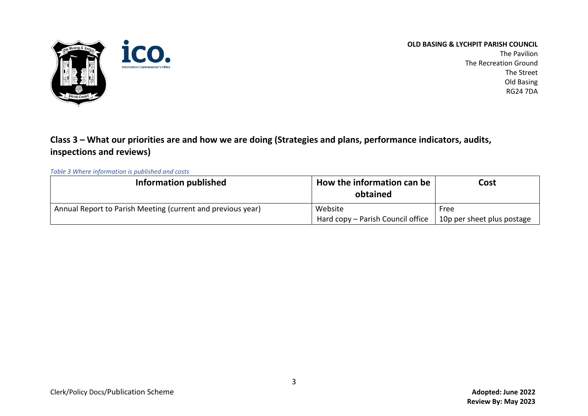

The Pavilion The Recreation Ground The Street Old Basing RG24 7DA

## **Class 3 – What our priorities are and how we are doing (Strategies and plans, performance indicators, audits, inspections and reviews)**

## *Table 3 Where information is published and costs*

| <b>Information published</b>                                | How the information can be<br>obtained | Cost                       |
|-------------------------------------------------------------|----------------------------------------|----------------------------|
| Annual Report to Parish Meeting (current and previous year) | Website                                | Free                       |
|                                                             | Hard copy – Parish Council office      | 10p per sheet plus postage |

3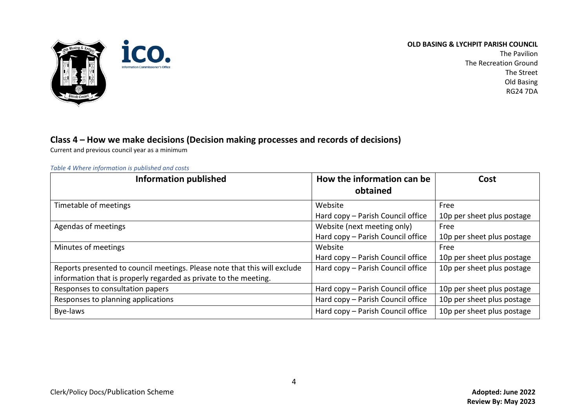

The Pavilion The Recreation Ground The Street Old Basing RG24 7DA

## **Class 4 – How we make decisions (Decision making processes and records of decisions)**

Current and previous council year as a minimum

#### *Table 4 Where information is published and costs*

| <b>Information published</b>                                              | How the information can be<br>obtained | Cost                       |
|---------------------------------------------------------------------------|----------------------------------------|----------------------------|
| Timetable of meetings                                                     | Website                                | Free                       |
|                                                                           | Hard copy - Parish Council office      | 10p per sheet plus postage |
| Agendas of meetings                                                       | Website (next meeting only)            | Free                       |
|                                                                           | Hard copy - Parish Council office      | 10p per sheet plus postage |
| Minutes of meetings                                                       | Website                                | Free                       |
|                                                                           | Hard copy - Parish Council office      | 10p per sheet plus postage |
| Reports presented to council meetings. Please note that this will exclude | Hard copy - Parish Council office      | 10p per sheet plus postage |
| information that is properly regarded as private to the meeting.          |                                        |                            |
| Responses to consultation papers                                          | Hard copy - Parish Council office      | 10p per sheet plus postage |
| Responses to planning applications                                        | Hard copy - Parish Council office      | 10p per sheet plus postage |
| Bye-laws                                                                  | Hard copy - Parish Council office      | 10p per sheet plus postage |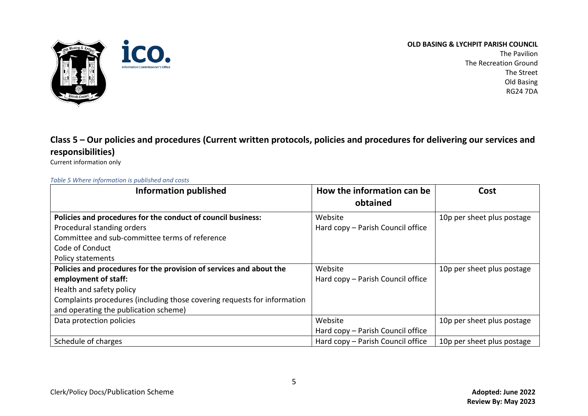



The Pavilion The Recreation Ground The Street Old Basing RG24 7DA

## **Class 5 – Our policies and procedures (Current written protocols, policies and procedures for delivering our services and responsibilities)**

Current information only

## *Table 5 Where information is published and costs*

| <b>Information published</b>                                             | How the information can be<br>obtained | Cost                       |
|--------------------------------------------------------------------------|----------------------------------------|----------------------------|
| Policies and procedures for the conduct of council business:             | Website                                | 10p per sheet plus postage |
| Procedural standing orders                                               | Hard copy - Parish Council office      |                            |
| Committee and sub-committee terms of reference                           |                                        |                            |
| Code of Conduct                                                          |                                        |                            |
| <b>Policy statements</b>                                                 |                                        |                            |
| Policies and procedures for the provision of services and about the      | Website                                | 10p per sheet plus postage |
| employment of staff:                                                     | Hard copy - Parish Council office      |                            |
| Health and safety policy                                                 |                                        |                            |
| Complaints procedures (including those covering requests for information |                                        |                            |
| and operating the publication scheme)                                    |                                        |                            |
| Data protection policies                                                 | Website                                | 10p per sheet plus postage |
|                                                                          | Hard copy - Parish Council office      |                            |
| Schedule of charges                                                      | Hard copy - Parish Council office      | 10p per sheet plus postage |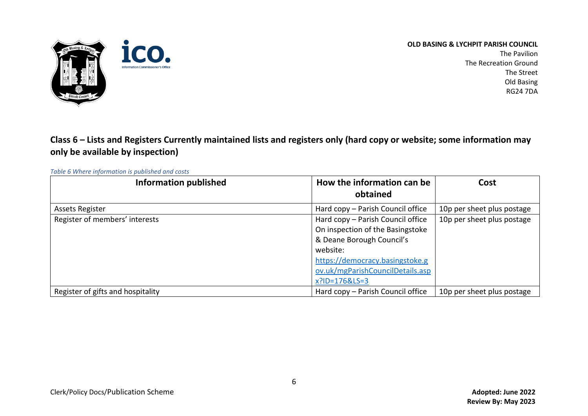

The Pavilion The Recreation Ground The Street Old Basing RG24 7DA

**Class 6 – Lists and Registers Currently maintained lists and registers only (hard copy or website; some information may only be available by inspection)**

*Table 6 Where information is published and costs*

| <b>Information published</b>      | How the information can be        | Cost                       |
|-----------------------------------|-----------------------------------|----------------------------|
|                                   | obtained                          |                            |
| <b>Assets Register</b>            | Hard copy - Parish Council office | 10p per sheet plus postage |
| Register of members' interests    | Hard copy - Parish Council office | 10p per sheet plus postage |
|                                   | On inspection of the Basingstoke  |                            |
|                                   | & Deane Borough Council's         |                            |
|                                   | website:                          |                            |
|                                   | https://democracy.basingstoke.g   |                            |
|                                   | ov.uk/mgParishCouncilDetails.asp  |                            |
|                                   | x?ID=176&LS=3                     |                            |
| Register of gifts and hospitality | Hard copy - Parish Council office | 10p per sheet plus postage |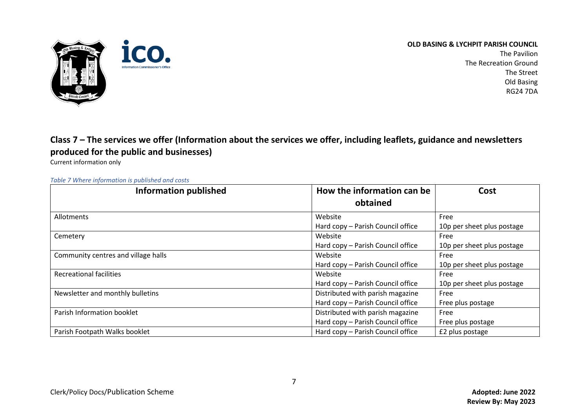

The Pavilion The Recreation Ground The Street Old Basing RG24 7DA

## **Class 7 – The services we offer (Information about the services we offer, including leaflets, guidance and newsletters produced for the public and businesses)**

Current information only

### *Table 7 Where information is published and costs*

| <b>Information published</b>        | How the information can be<br>obtained | Cost                       |
|-------------------------------------|----------------------------------------|----------------------------|
| Allotments                          | Website                                | Free                       |
|                                     | Hard copy - Parish Council office      | 10p per sheet plus postage |
| Cemetery                            | Website                                | Free                       |
|                                     | Hard copy - Parish Council office      | 10p per sheet plus postage |
| Community centres and village halls | Website                                | Free                       |
|                                     | Hard copy - Parish Council office      | 10p per sheet plus postage |
| <b>Recreational facilities</b>      | Website                                | Free                       |
|                                     | Hard copy - Parish Council office      | 10p per sheet plus postage |
| Newsletter and monthly bulletins    | Distributed with parish magazine       | Free                       |
|                                     | Hard copy - Parish Council office      | Free plus postage          |
| Parish Information booklet          | Distributed with parish magazine       | Free                       |
|                                     | Hard copy - Parish Council office      | Free plus postage          |
| Parish Footpath Walks booklet       | Hard copy - Parish Council office      | £2 plus postage            |